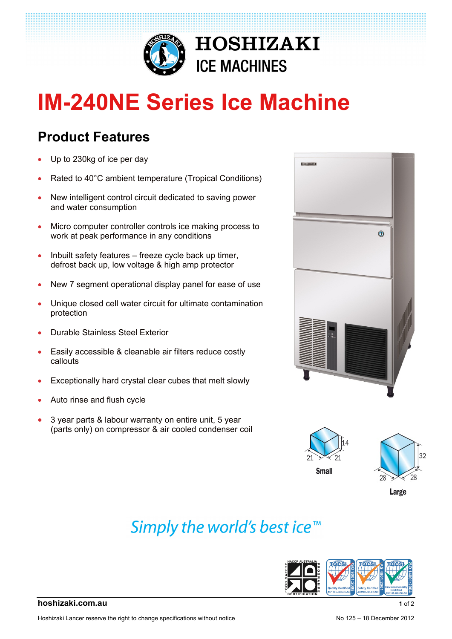

# **IM-240NE Series Ice Machine**

### **Product Features**

- Up to 230kg of ice per day
- Rated to 40°C ambient temperature (Tropical Conditions)
- New intelligent control circuit dedicated to saving power and water consumption
- Micro computer controller controls ice making process to work at peak performance in any conditions
- $\bullet$  Inbuilt safety features freeze cycle back up timer, defrost back up, low voltage & high amp protector
- New 7 segment operational display panel for ease of use
- Unique closed cell water circuit for ultimate contamination protection
- Durable Stainless Steel Exterior
- Easily accessible & cleanable air filters reduce costly callouts
- Exceptionally hard crystal clear cubes that melt slowly
- Auto rinse and flush cycle
- 3 year parts & labour warranty on entire unit, 5 year (parts only) on compressor & air cooled condenser coil







## Simply the world's best ice<sup>™</sup>